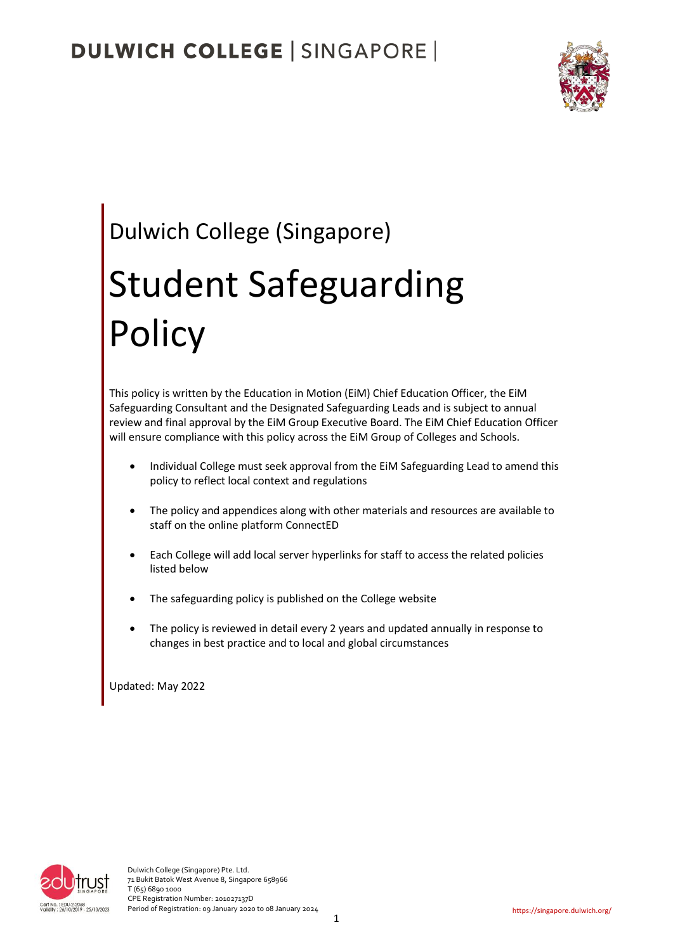

# Dulwich College (Singapore)

# Student Safeguarding **Policy**

This policy is written by the Education in Motion (EiM) Chief Education Officer, the EiM Safeguarding Consultant and the Designated Safeguarding Leads and is subject to annual review and final approval by the EiM Group Executive Board. The EiM Chief Education Officer will ensure compliance with this policy across the EiM Group of Colleges and Schools.

- Individual College must seek approval from the EiM Safeguarding Lead to amend this policy to reflect local context and regulations
- The policy and appendices along with other materials and resources are available to staff on the online platform ConnectED
- Each College will add local server hyperlinks for staff to access the related policies listed below
- The safeguarding policy is published on the College website
- The policy is reviewed in detail every 2 years and updated annually in response to changes in best practice and to local and global circumstances

Updated: May 2022

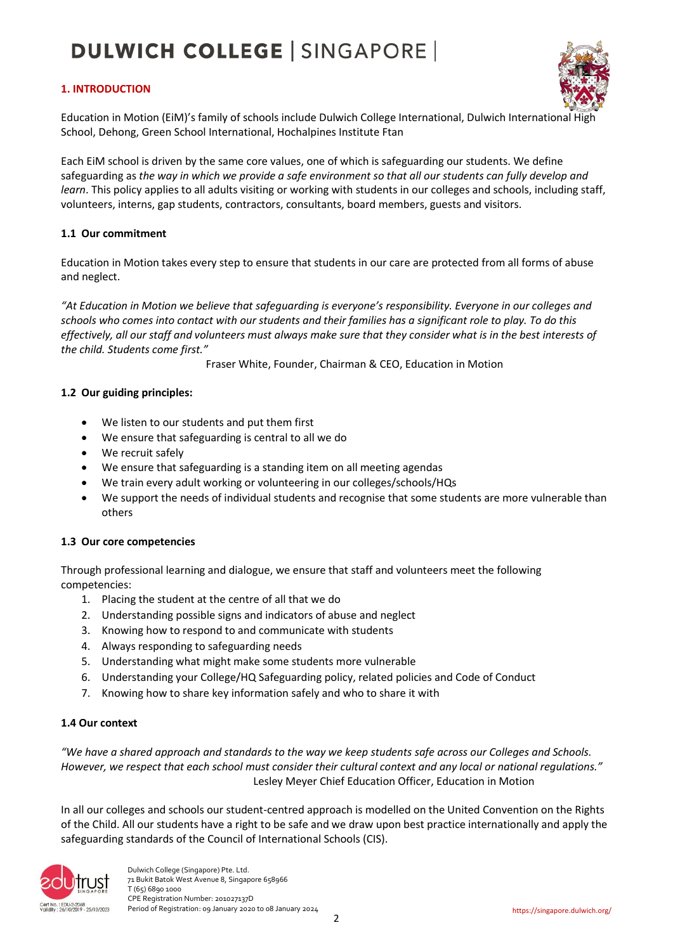#### **1. INTRODUCTION**



Education in Motion (EiM)'s family of schools include Dulwich College International, Dulwich International High School, Dehong, Green School International, Hochalpines Institute Ftan

Each EiM school is driven by the same core values, one of which is safeguarding our students. We define safeguarding as *the way in which we provide a safe environment so that all our students can fully develop and learn*. This policy applies to all adults visiting or working with students in our colleges and schools, including staff, volunteers, interns, gap students, contractors, consultants, board members, guests and visitors.

#### **1.1 Our commitment**

Education in Motion takes every step to ensure that students in our care are protected from all forms of abuse and neglect.

*"At Education in Motion we believe that safeguarding is everyone's responsibility. Everyone in our colleges and schools who comes into contact with our students and their families has a significant role to play. To do this effectively, all our staff and volunteers must always make sure that they consider what is in the best interests of the child. Students come first."*

Fraser White, Founder, Chairman & CEO, Education in Motion

#### **1.2 Our guiding principles:**

- We listen to our students and put them first
- We ensure that safeguarding is central to all we do
- We recruit safely
- We ensure that safeguarding is a standing item on all meeting agendas
- We train every adult working or volunteering in our colleges/schools/HQs
- We support the needs of individual students and recognise that some students are more vulnerable than others

#### **1.3 Our core competencies**

Through professional learning and dialogue, we ensure that staff and volunteers meet the following competencies:

- 1. Placing the student at the centre of all that we do
- 2. Understanding possible signs and indicators of abuse and neglect
- 3. Knowing how to respond to and communicate with students
- 4. Always responding to safeguarding needs
- 5. Understanding what might make some students more vulnerable
- 6. Understanding your College/HQ Safeguarding policy, related policies and Code of Conduct
- 7. Knowing how to share key information safely and who to share it with

#### **1.4 Our context**

*"We have a shared approach and standards to the way we keep students safe across our Colleges and Schools. However, we respect that each school must consider their cultural context and any local or national regulations."* Lesley Meyer Chief Education Officer, Education in Motion

In all our colleges and schools our student-centred approach is modelled on the United Convention on the Rights of the Child. All our students have a right to be safe and we draw upon best practice internationally and apply the safeguarding standards of the Council of International Schools (CIS).

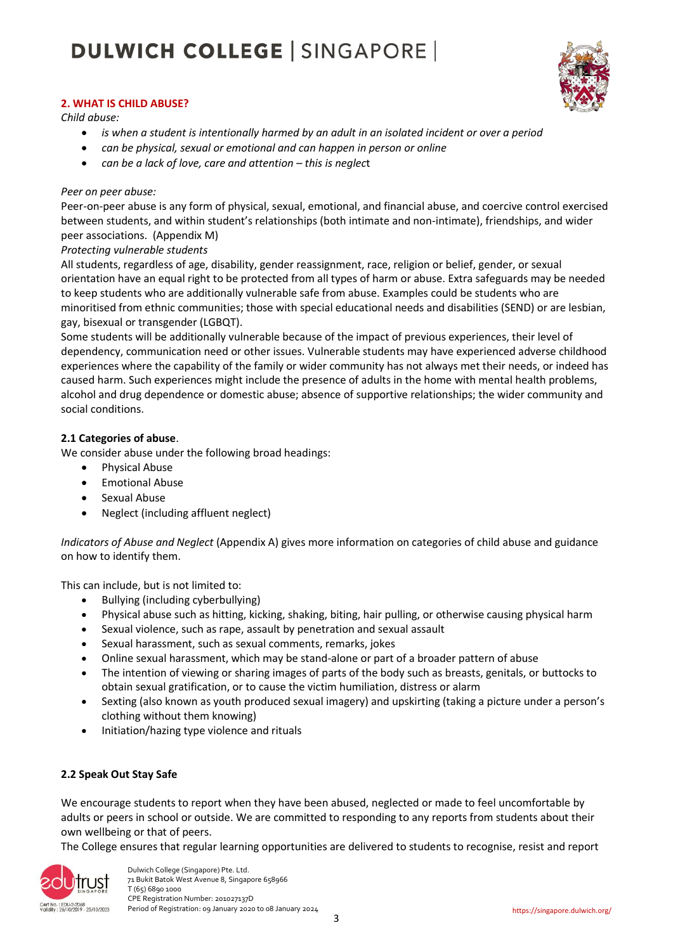

#### **2. WHAT IS CHILD ABUSE?**

*Child abuse:*

- *is when a student is intentionally harmed by an adult in an isolated incident or over a period*
- *can be physical, sexual or emotional and can happen in person or online*
- *can be a lack of love, care and attention – this is neglec*t

#### *Peer on peer abuse:*

Peer-on-peer abuse is any form of physical, sexual, emotional, and financial abuse, and coercive control exercised between students, and within student's relationships (both intimate and non-intimate), friendships, and wider peer associations. (Appendix M)

#### *Protecting vulnerable students*

All students, regardless of age, disability, gender reassignment, race, religion or belief, gender, or sexual orientation have an equal right to be protected from all types of harm or abuse. Extra safeguards may be needed to keep students who are additionally vulnerable safe from abuse. Examples could be students who are minoritised from ethnic communities; those with special educational needs and disabilities (SEND) or are lesbian, gay, bisexual or transgender (LGBQT).

Some students will be additionally vulnerable because of the impact of previous experiences, their level of dependency, communication need or other issues. Vulnerable students may have experienced adverse childhood experiences where the capability of the family or wider community has not always met their needs, or indeed has caused harm. Such experiences might include the presence of adults in the home with mental health problems, alcohol and drug dependence or domestic abuse; absence of supportive relationships; the wider community and social conditions.

#### **2.1 Categories of abuse**.

We consider abuse under the following broad headings:

- Physical Abuse
- Emotional Abuse
- Sexual Abuse
- Neglect (including affluent neglect)

*Indicators of Abuse and Neglect* (Appendix A) gives more information on categories of child abuse and guidance on how to identify them.

This can include, but is not limited to:

- Bullying (including cyberbullying)
- Physical abuse such as hitting, kicking, shaking, biting, hair pulling, or otherwise causing physical harm
- Sexual violence, such as rape, assault by penetration and sexual assault
- Sexual harassment, such as sexual comments, remarks, jokes
- Online sexual harassment, which may be stand-alone or part of a broader pattern of abuse
- The intention of viewing or sharing images of parts of the body such as breasts, genitals, or buttocks to obtain sexual gratification, or to cause the victim humiliation, distress or alarm
- Sexting (also known as youth produced sexual imagery) and upskirting (taking a picture under a person's clothing without them knowing)
- Initiation/hazing type violence and rituals

#### **2.2 Speak Out Stay Safe**

We encourage students to report when they have been abused, neglected or made to feel uncomfortable by adults or peers in school or outside. We are committed to responding to any reports from students about their own wellbeing or that of peers.

The College ensures that regular learning opportunities are delivered to students to recognise, resist and report



 Dulwich College (Singapore) Pte. Ltd. 71 Bukit Batok West Avenue 8, Singapore 658966 T (65) 6890 1000 CPE Registration Number: 201027137D<br>Validily: 26/10/2019 - 25/10/2023 Period of Registration: 09 January 2020 Period of Registration: 09 January 2020 to 08 January 2024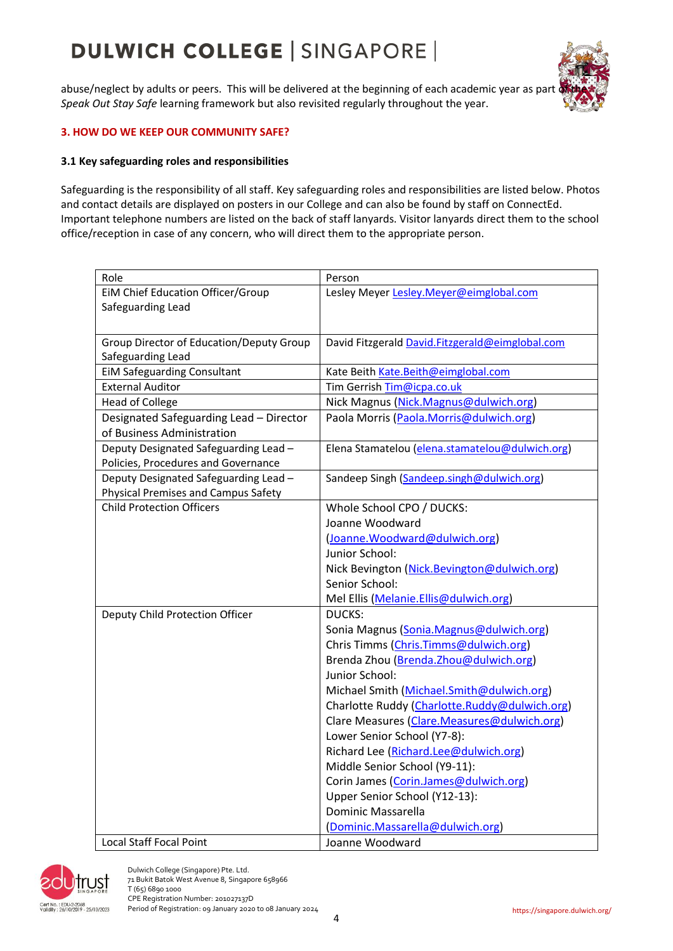abuse/neglect by adults or peers. This will be delivered at the beginning of each academic year as part *Speak Out Stay Safe* learning framework but also revisited regularly throughout the year.



#### **3. HOW DO WE KEEP OUR COMMUNITY SAFE?**

#### **3.1 Key safeguarding roles and responsibilities**

Safeguarding is the responsibility of all staff. Key safeguarding roles and responsibilities are listed below. Photos and contact details are displayed on posters in our College and can also be found by staff o[n ConnectEd.](https://connected.dulwich.org/programme/safeguarding/my-safeguarding) Important telephone numbers are listed on the back of staff lanyards. Visitor lanyards direct them to the school office/reception in case of any concern, who will direct them to the appropriate person.

| Role                                       | Person                                          |
|--------------------------------------------|-------------------------------------------------|
| EIM Chief Education Officer/Group          | Lesley Meyer Lesley. Meyer@eimglobal.com        |
| Safeguarding Lead                          |                                                 |
|                                            |                                                 |
| Group Director of Education/Deputy Group   | David Fitzgerald David.Fitzgerald@eimglobal.com |
| Safeguarding Lead                          |                                                 |
| <b>EIM Safeguarding Consultant</b>         | Kate Beith Kate.Beith@eimglobal.com             |
| <b>External Auditor</b>                    | Tim Gerrish Tim@icpa.co.uk                      |
| <b>Head of College</b>                     | Nick Magnus (Nick.Magnus@dulwich.org)           |
| Designated Safeguarding Lead - Director    | Paola Morris (Paola.Morris@dulwich.org)         |
| of Business Administration                 |                                                 |
| Deputy Designated Safeguarding Lead -      | Elena Stamatelou (elena.stamatelou@dulwich.org) |
| Policies, Procedures and Governance        |                                                 |
| Deputy Designated Safeguarding Lead -      | Sandeep Singh (Sandeep.singh@dulwich.org)       |
| <b>Physical Premises and Campus Safety</b> |                                                 |
| <b>Child Protection Officers</b>           | Whole School CPO / DUCKS:                       |
|                                            | Joanne Woodward                                 |
|                                            | (Joanne. Woodward@dulwich.org)                  |
|                                            | Junior School:                                  |
|                                            | Nick Bevington (Nick.Bevington@dulwich.org)     |
|                                            | Senior School:                                  |
|                                            | Mel Ellis (Melanie.Ellis@dulwich.org)           |
| Deputy Child Protection Officer            | <b>DUCKS:</b>                                   |
|                                            | Sonia Magnus (Sonia.Magnus@dulwich.org)         |
|                                            | Chris Timms (Chris.Timms@dulwich.org)           |
|                                            | Brenda Zhou (Brenda.Zhou@dulwich.org)           |
|                                            | Junior School:                                  |
|                                            | Michael Smith (Michael.Smith@dulwich.org)       |
|                                            | Charlotte Ruddy (Charlotte.Ruddy@dulwich.org)   |
|                                            | Clare Measures (Clare.Measures@dulwich.org)     |
|                                            | Lower Senior School (Y7-8):                     |
|                                            | Richard Lee (Richard.Lee@dulwich.org)           |
|                                            | Middle Senior School (Y9-11):                   |
|                                            | Corin James (Corin.James@dulwich.org)           |
|                                            | Upper Senior School (Y12-13):                   |
|                                            | Dominic Massarella                              |
|                                            | (Dominic.Massarella@dulwich.org)                |
| <b>Local Staff Focal Point</b>             | Joanne Woodward                                 |



 Dulwich College (Singapore) Pte. Ltd. 71 Bukit Batok West Avenue 8, Singapore 658966 T (65) 6890 1000 CPE Registration Number: 201027137D<br>
Validily: 26/10/2019 - 25/10/2023 Period of Registration: 09 January 2020 Period of Registration: 09 January 2020 to 08 January 2024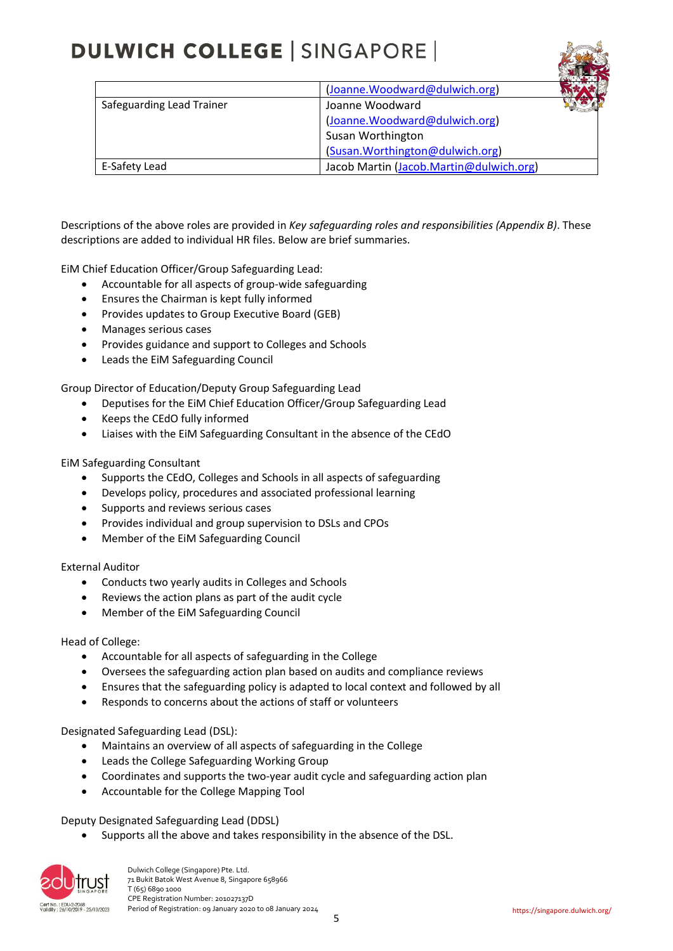|                           | (Joanne.Woodward@dulwich.org)           |  |
|---------------------------|-----------------------------------------|--|
| Safeguarding Lead Trainer | Joanne Woodward                         |  |
|                           | (Joanne.Woodward@dulwich.org)           |  |
|                           | Susan Worthington                       |  |
|                           | (Susan.Worthington@dulwich.org)         |  |
| E-Safety Lead             | Jacob Martin (Jacob.Martin@dulwich.org) |  |

Descriptions of the above roles are provided in *Key safeguarding roles and responsibilities (Appendix B)*. These descriptions are added to individual HR files. Below are brief summaries.

EiM Chief Education Officer/Group Safeguarding Lead:

- Accountable for all aspects of group-wide safeguarding
- Ensures the Chairman is kept fully informed
- Provides updates to Group Executive Board (GEB)
- Manages serious cases
- Provides guidance and support to Colleges and Schools
- Leads the EiM Safeguarding Council

Group Director of Education/Deputy Group Safeguarding Lead

- Deputises for the EiM Chief Education Officer/Group Safeguarding Lead
- Keeps the CEdO fully informed
- Liaises with the EiM Safeguarding Consultant in the absence of the CEdO

EiM Safeguarding Consultant

- Supports the CEdO, Colleges and Schools in all aspects of safeguarding
- Develops policy, procedures and associated professional learning
- Supports and reviews serious cases
- Provides individual and group supervision to DSLs and CPOs
- Member of the EiM Safeguarding Council

#### External Auditor

- Conducts two yearly audits in Colleges and Schools
- Reviews the action plans as part of the audit cycle
- Member of the EiM Safeguarding Council

#### Head of College:

- Accountable for all aspects of safeguarding in the College
- Oversees the safeguarding action plan based on audits and compliance reviews
- Ensures that the safeguarding policy is adapted to local context and followed by all
- Responds to concerns about the actions of staff or volunteers

Designated Safeguarding Lead (DSL):

- Maintains an overview of all aspects of safeguarding in the College
- Leads the College Safeguarding Working Group
- Coordinates and supports the two-year audit cycle and safeguarding action plan
- Accountable for the College Mapping Tool

Deputy Designated Safeguarding Lead (DDSL)

• Supports all the above and takes responsibility in the absence of the DSL.



 Dulwich College (Singapore) Pte. Ltd. 71 Bukit Batok West Avenue 8, Singapore 658966 T (65) 6890 1000 The ERegistration Number: 201027137D<br>

Figure : 201022019 - 25/10/2023<br>
Period of Registration: 09 January 2020 Period of Registration: 09 January 2020 to 08 January 2024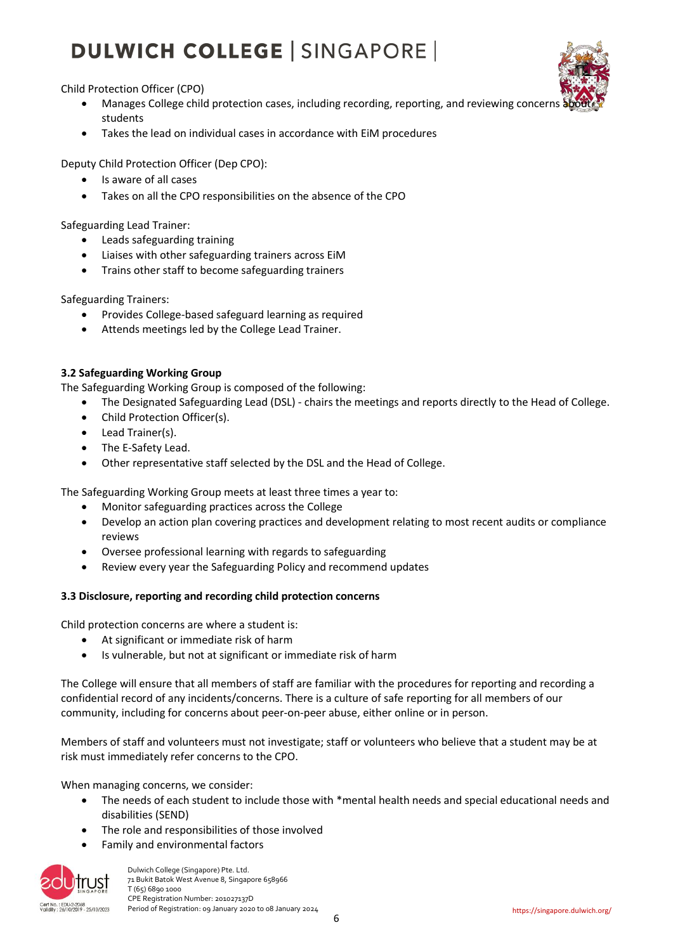Child Protection Officer (CPO)

- Manages College child protection cases, including recording, reporting, and reviewing concern students
- Takes the lead on individual cases in accordance with EiM procedures

Deputy Child Protection Officer (Dep CPO):

- Is aware of all cases
- Takes on all the CPO responsibilities on the absence of the CPO

Safeguarding Lead Trainer:

- Leads safeguarding training
- Liaises with other safeguarding trainers across EiM
- Trains other staff to become safeguarding trainers

Safeguarding Trainers:

- Provides College-based safeguard learning as required
- Attends meetings led by the College Lead Trainer.

#### **3.2 Safeguarding Working Group**

The Safeguarding Working Group is composed of the following:

- The Designated Safeguarding Lead (DSL) chairs the meetings and reports directly to the Head of College.
- Child Protection Officer(s).
- Lead Trainer(s).
- The E-Safety Lead.
- Other representative staff selected by the DSL and the Head of College.

The Safeguarding Working Group meets at least three times a year to:

- Monitor safeguarding practices across the College
- Develop an action plan covering practices and development relating to most recent audits or compliance reviews
- Oversee professional learning with regards to safeguarding
- Review every year the Safeguarding Policy and recommend updates

#### **3.3 Disclosure, reporting and recording child protection concerns**

Child protection concerns are where a student is:

- At significant or immediate risk of harm
- Is vulnerable, but not at significant or immediate risk of harm

The College will ensure that all members of staff are familiar with the procedures for reporting and recording a confidential record of any incidents/concerns. There is a culture of safe reporting for all members of our community, including for concerns about peer-on-peer abuse, either online or in person.

Members of staff and volunteers must not investigate; staff or volunteers who believe that a student may be at risk must immediately refer concerns to the CPO.

When managing concerns, we consider:

- The needs of each student to include those with \*mental health needs and special educational needs and disabilities (SEND)
- The role and responsibilities of those involved
- Family and environmental factors



 Dulwich College (Singapore) Pte. Ltd. 71 Bukit Batok West Avenue 8, Singapore 658966 T (65) 6890 1000 ort No.: EDU-2-2068<br>
CPE Registration Number: 201027137D<br>
Period of Registration: 09 January 2020 Period of Registration: 09 January 2020 to 08 January 2024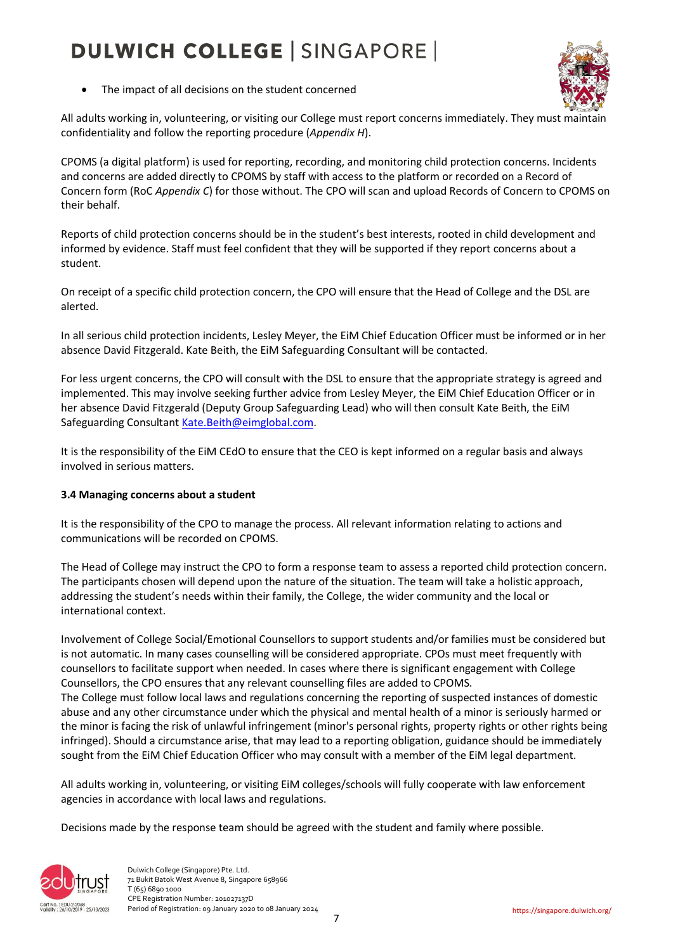

• The impact of all decisions on the student concerned

All adults working in, volunteering, or visiting our College must report concerns immediately. They must maintain confidentiality and follow the reporting procedure (*Appendix H*).

CPOMS (a digital platform) is used for reporting, recording, and monitoring child protection concerns. Incidents and concerns are added directly to CPOMS by staff with access to the platform or recorded on a Record of Concern form (RoC *Appendix C*) for those without. The CPO will scan and upload Records of Concern to CPOMS on their behalf.

Reports of child protection concerns should be in the student's best interests, rooted in child development and informed by evidence. Staff must feel confident that they will be supported if they report concerns about a student.

On receipt of a specific child protection concern, the CPO will ensure that the Head of College and the DSL are alerted.

In all serious child protection incidents, Lesley Meyer, the EiM Chief Education Officer must be informed or in her absence David Fitzgerald. Kate Beith, the EiM Safeguarding Consultant will be contacted.

For less urgent concerns, the CPO will consult with the DSL to ensure that the appropriate strategy is agreed and implemented. This may involve seeking further advice from Lesley Meyer, the EiM Chief Education Officer or in her absence David Fitzgerald (Deputy Group Safeguarding Lead) who will then consult Kate Beith, the EiM Safeguarding Consultant [Kate.Beith@eimglobal.com.](mailto:Kate.Beith@eimglobal.com)

It is the responsibility of the EiM CEdO to ensure that the CEO is kept informed on a regular basis and always involved in serious matters.

#### **3.4 Managing concerns about a student**

It is the responsibility of the CPO to manage the process. All relevant information relating to actions and communications will be recorded on CPOMS.

The Head of College may instruct the CPO to form a response team to assess a reported child protection concern. The participants chosen will depend upon the nature of the situation. The team will take a holistic approach, addressing the student's needs within their family, the College, the wider community and the local or international context.

Involvement of College Social/Emotional Counsellors to support students and/or families must be considered but is not automatic. In many cases counselling will be considered appropriate. CPOs must meet frequently with counsellors to facilitate support when needed. In cases where there is significant engagement with College Counsellors, the CPO ensures that any relevant counselling files are added to CPOMS.

The College must follow local laws and regulations concerning the reporting of suspected instances of domestic abuse and any other circumstance under which the physical and mental health of a minor is seriously harmed or the minor is facing the risk of unlawful infringement (minor's personal rights, property rights or other rights being infringed). Should a circumstance arise, that may lead to a reporting obligation, guidance should be immediately sought from the EiM Chief Education Officer who may consult with a member of the EiM legal department.

All adults working in, volunteering, or visiting EiM colleges/schools will fully cooperate with law enforcement agencies in accordance with local laws and regulations.

Decisions made by the response team should be agreed with the student and family where possible.

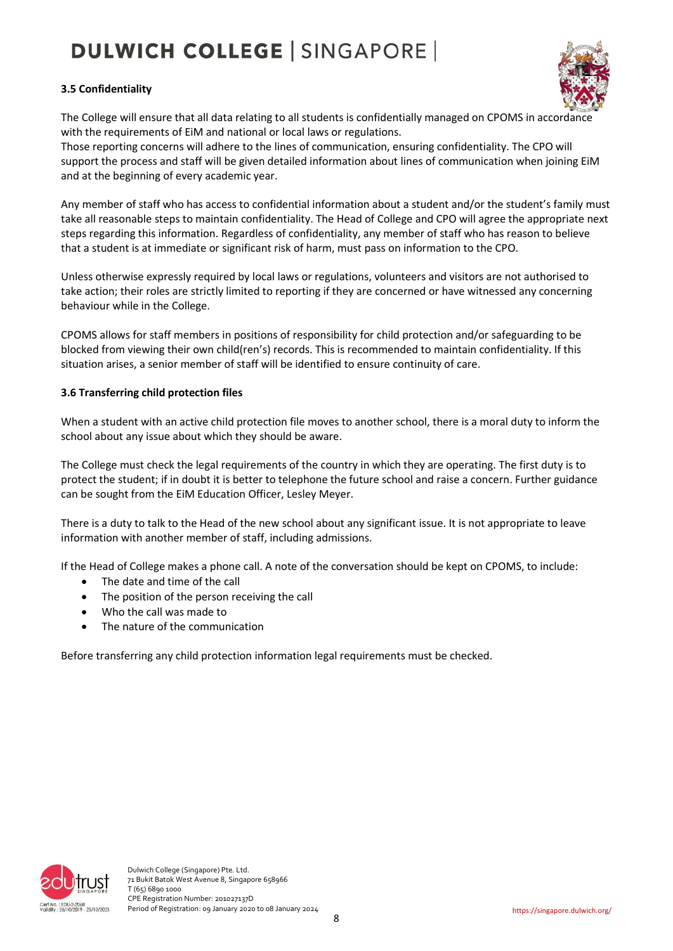#### **3.5 Confidentiality**



The College will ensure that all data relating to all students is confidentially managed on CPOMS in accordance with the requirements of EiM and national or local laws or regulations.

Those reporting concerns will adhere to the lines of communication, ensuring confidentiality. The CPO will support the process and staff will be given detailed information about lines of communication when joining EiM and at the beginning of every academic year.

Any member of staff who has access to confidential information about a student and/or the student's family must take all reasonable steps to maintain confidentiality. The Head of College and CPO will agree the appropriate next steps regarding this information. Regardless of confidentiality, any member of staff who has reason to believe that a student is at immediate or significant risk of harm, must pass on information to the CPO.

Unless otherwise expressly required by local laws or regulations, volunteers and visitors are not authorised to take action; their roles are strictly limited to reporting if they are concerned or have witnessed any concerning behaviour while in the College.

CPOMS allows for staff members in positions of responsibility for child protection and/or safeguarding to be blocked from viewing their own child(ren's) records. This is recommended to maintain confidentiality. If this situation arises, a senior member of staff will be identified to ensure continuity of care.

#### **3.6 Transferring child protection files**

When a student with an active child protection file moves to another school, there is a moral duty to inform the school about any issue about which they should be aware.

The College must check the legal requirements of the country in which they are operating. The first duty is to protect the student; if in doubt it is better to telephone the future school and raise a concern. Further guidance can be sought from the EiM Education Officer, Lesley Meyer.

There is a duty to talk to the Head of the new school about any significant issue. It is not appropriate to leave information with another member of staff, including admissions.

If the Head of College makes a phone call. A note of the conversation should be kept on CPOMS, to include:

- The date and time of the call
- The position of the person receiving the call
- Who the call was made to
- The nature of the communication

Before transferring any child protection information legal requirements must be checked.

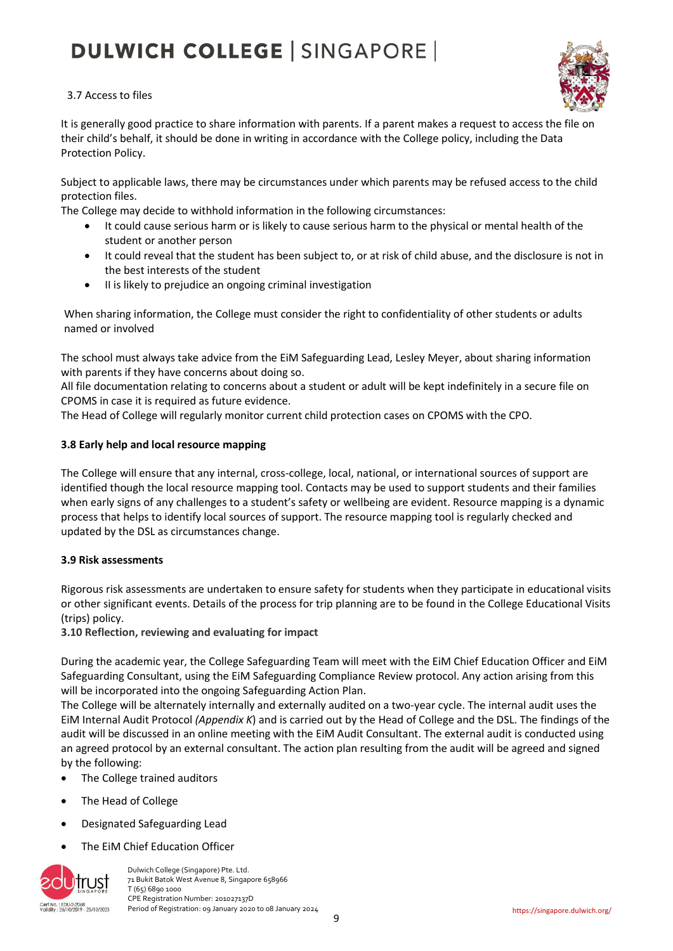

#### 3.7 Access to files

It is generally good practice to share information with parents. If a parent makes a request to access the file on their child's behalf, it should be done in writing in accordance with the College policy, including the Data Protection Policy.

Subject to applicable laws, there may be circumstances under which parents may be refused access to the child protection files.

The College may decide to withhold information in the following circumstances:

- It could cause serious harm or is likely to cause serious harm to the physical or mental health of the student or another person
- It could reveal that the student has been subject to, or at risk of child abuse, and the disclosure is not in the best interests of the student
- II is likely to prejudice an ongoing criminal investigation

When sharing information, the College must consider the right to confidentiality of other students or adults named or involved

The school must always take advice from the EiM Safeguarding Lead, Lesley Meyer, about sharing information with parents if they have concerns about doing so.

All file documentation relating to concerns about a student or adult will be kept indefinitely in a secure file on CPOMS in case it is required as future evidence.

The Head of College will regularly monitor current child protection cases on CPOMS with the CPO.

#### **3.8 Early help and local resource mapping**

The College will ensure that any internal, cross-college, local, national, or international sources of support are identified though the local resource mapping tool. Contacts may be used to support students and their families when early signs of any challenges to a student's safety or wellbeing are evident. Resource mapping is a dynamic process that helps to identify local sources of support. The resource mapping tool is regularly checked and updated by the DSL as circumstances change.

#### **3.9 Risk assessments**

Rigorous risk assessments are undertaken to ensure safety for students when they participate in educational visits or other significant events. Details of the process for trip planning are to be found in the College Educational Visits (trips) policy.

**3.10 Reflection, reviewing and evaluating for impact**

During the academic year, the College Safeguarding Team will meet with the EiM Chief Education Officer and EiM Safeguarding Consultant, using the EiM Safeguarding Compliance Review protocol. Any action arising from this will be incorporated into the ongoing Safeguarding Action Plan.

The College will be alternately internally and externally audited on a two-year cycle. The internal audit uses the EiM Internal Audit Protocol *(Appendix K*) and is carried out by the Head of College and the DSL. The findings of the audit will be discussed in an online meeting with the EiM Audit Consultant. The external audit is conducted using an agreed protocol by an external consultant. The action plan resulting from the audit will be agreed and signed by the following:

- The College trained auditors
- The Head of College
- Designated Safeguarding Lead
- The EiM Chief Education Officer



 Dulwich College (Singapore) Pte. Ltd. 71 Bukit Batok West Avenue 8, Singapore 658966 T (65) 6890 1000 CPE Registration Number: 201027137D<br>Validily: 26/10/2019 - 25/10/2023 Period of Registration: 09 January 2020 Period of Registration: 09 January 2020 to 08 January 2024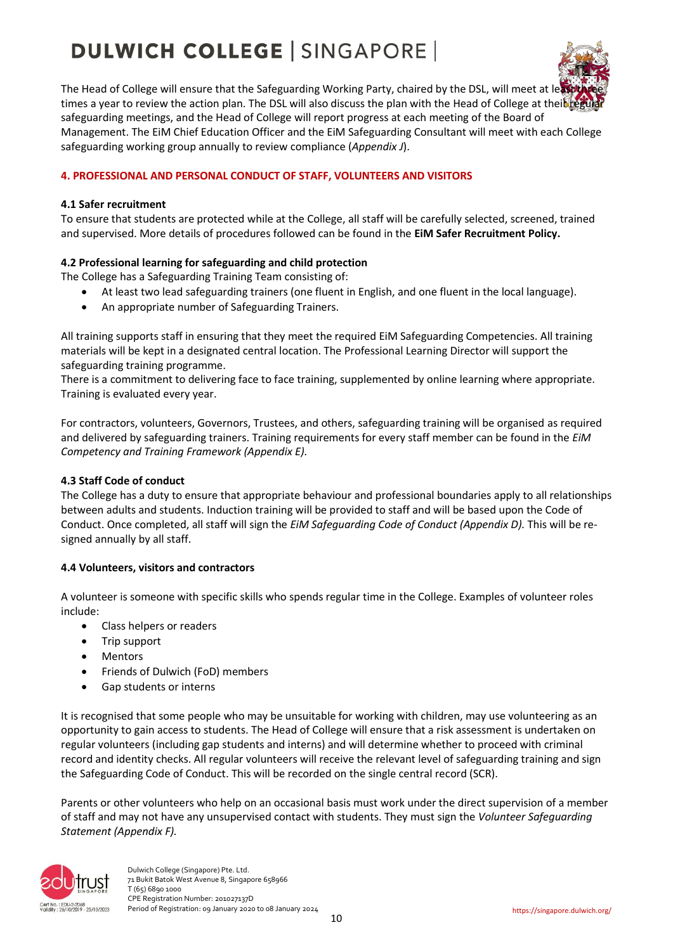

The Head of College will ensure that the Safeguarding Working Party, chaired by the DSL, will meet at le times a year to review the action plan. The DSL will also discuss the plan with the Head of College at their regular safeguarding meetings, and the Head of College will report progress at each meeting of the Board of Management. The EiM Chief Education Officer and the EiM Safeguarding Consultant will meet with each College safeguarding working group annually to review compliance (*Appendix J*).

#### **4. PROFESSIONAL AND PERSONAL CONDUCT OF STAFF, VOLUNTEERS AND VISITORS**

#### **4.1 Safer recruitment**

To ensure that students are protected while at the College, all staff will be carefully selected, screened, trained and supervised. More details of procedures followed can be found in the **EiM Safer Recruitment Policy.**

#### **4.2 Professional learning for safeguarding and child protection**

The College has a Safeguarding Training Team consisting of:

- At least two lead safeguarding trainers (one fluent in English, and one fluent in the local language).
- An appropriate number of Safeguarding Trainers.

All training supports staff in ensuring that they meet the required EiM Safeguarding Competencies. All training materials will be kept in a designated central location. The Professional Learning Director will support the safeguarding training programme.

There is a commitment to delivering face to face training, supplemented by online learning where appropriate. Training is evaluated every year.

For contractors, volunteers, Governors, Trustees, and others, safeguarding training will be organised as required and delivered by safeguarding trainers. Training requirements for every staff member can be found in the *EiM Competency and Training Framework (Appendix E).*

#### **4.3 Staff Code of conduct**

The College has a duty to ensure that appropriate behaviour and professional boundaries apply to all relationships between adults and students. Induction training will be provided to staff and will be based upon the Code of Conduct. Once completed, all staff will sign the *EiM Safeguarding Code of Conduct (Appendix D).* This will be resigned annually by all staff.

#### **4.4 Volunteers, visitors and contractors**

A volunteer is someone with specific skills who spends regular time in the College. Examples of volunteer roles include:

- Class helpers or readers
- Trip support
- Mentors
- Friends of Dulwich (FoD) members
- Gap students or interns

It is recognised that some people who may be unsuitable for working with children, may use volunteering as an opportunity to gain access to students. The Head of College will ensure that a risk assessment is undertaken on regular volunteers (including gap students and interns) and will determine whether to proceed with criminal record and identity checks. All regular volunteers will receive the relevant level of safeguarding training and sign the Safeguarding Code of Conduct. This will be recorded on the single central record (SCR).

Parents or other volunteers who help on an occasional basis must work under the direct supervision of a member of staff and may not have any unsupervised contact with students. They must sign the *Volunteer Safeguarding Statement (Appendix F).*

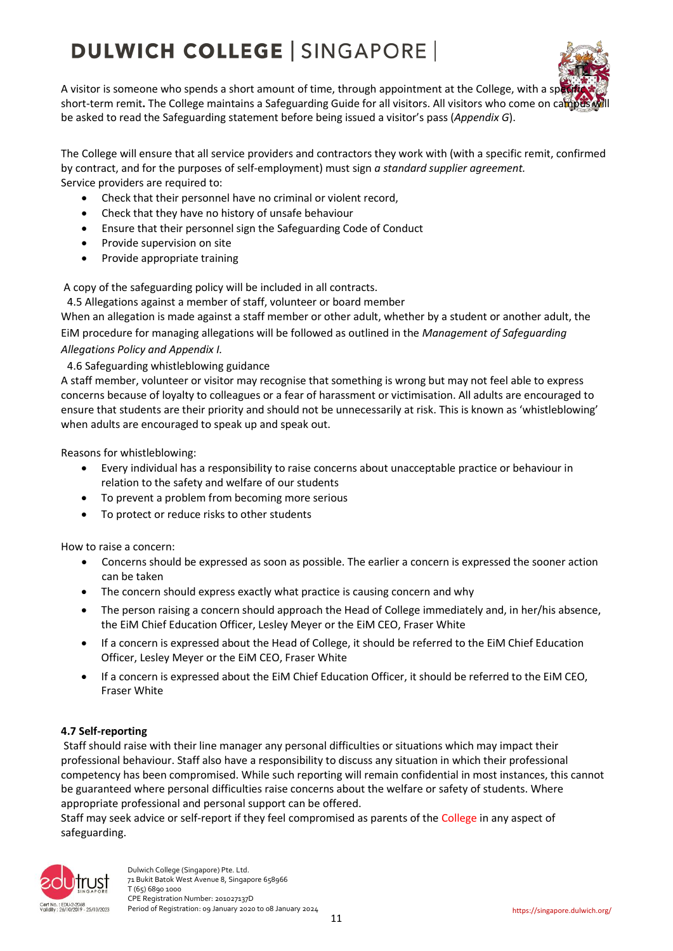

A visitor is someone who spends a short amount of time, through appointment at the College, with a specific short-term remit. The College maintains a Safeguarding Guide for all visitors. All visitors who come on campus be asked to read the Safeguarding statement before being issued a visitor's pass (*Appendix G*).

The College will ensure that all service providers and contractors they work with (with a specific remit, confirmed by contract, and for the purposes of self-employment) must sign *a standard supplier agreement.*  Service providers are required to:

- Check that their personnel have no criminal or violent record,
- Check that they have no history of unsafe behaviour
- Ensure that their personnel sign the Safeguarding Code of Conduct
- Provide supervision on site
- Provide appropriate training

A copy of the safeguarding policy will be included in all contracts.

4.5 Allegations against a member of staff, volunteer or board member

When an allegation is made against a staff member or other adult, whether by a student or another adult, the EiM procedure for managing allegations will be followed as outlined in the *Management of Safeguarding Allegations Policy and Appendix I.*

4.6 Safeguarding whistleblowing guidance

A staff member, volunteer or visitor may recognise that something is wrong but may not feel able to express concerns because of loyalty to colleagues or a fear of harassment or victimisation. All adults are encouraged to ensure that students are their priority and should not be unnecessarily at risk. This is known as 'whistleblowing' when adults are encouraged to speak up and speak out.

Reasons for whistleblowing:

- Every individual has a responsibility to raise concerns about unacceptable practice or behaviour in relation to the safety and welfare of our students
- To prevent a problem from becoming more serious
- To protect or reduce risks to other students

How to raise a concern:

- Concerns should be expressed as soon as possible. The earlier a concern is expressed the sooner action can be taken
- The concern should express exactly what practice is causing concern and why
- The person raising a concern should approach the Head of College immediately and, in her/his absence, the EiM Chief Education Officer, Lesley Meyer or the EiM CEO, Fraser White
- If a concern is expressed about the Head of College, it should be referred to the EiM Chief Education Officer, Lesley Meyer or the EiM CEO, Fraser White
- If a concern is expressed about the EiM Chief Education Officer, it should be referred to the EiM CEO, Fraser White

#### **4.7 Self-reporting**

Staff should raise with their line manager any personal difficulties or situations which may impact their professional behaviour. Staff also have a responsibility to discuss any situation in which their professional competency has been compromised. While such reporting will remain confidential in most instances, this cannot be guaranteed where personal difficulties raise concerns about the welfare or safety of students. Where appropriate professional and personal support can be offered.

Staff may seek advice or self-report if they feel compromised as parents of the College in any aspect of safeguarding.

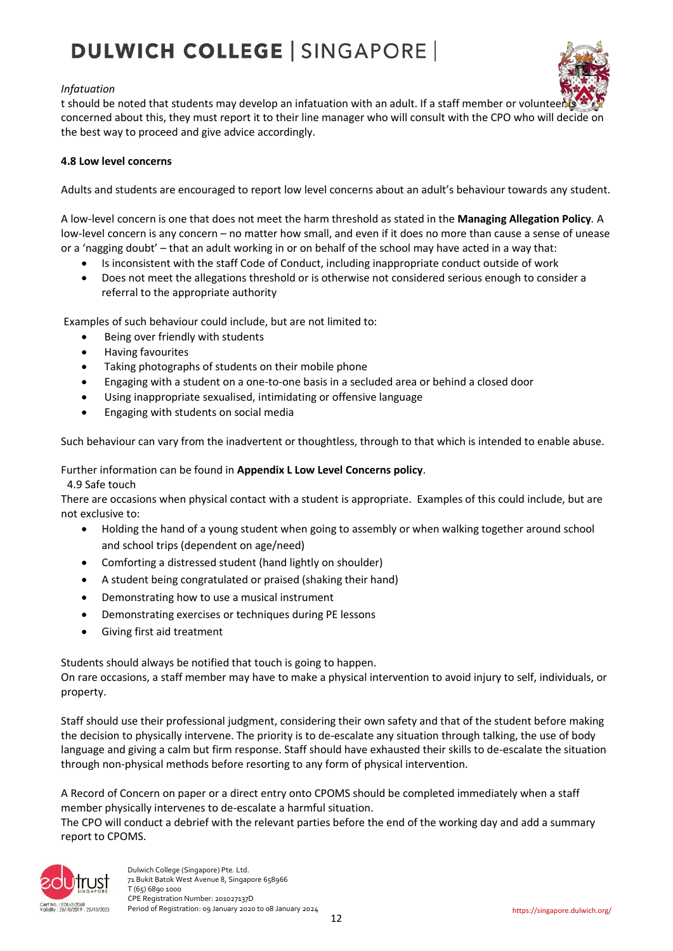#### *Infatuation*

t should be noted that students may develop an infatuation with an adult. If a staff member or voluntee concerned about this, they must report it to their line manager who will consult with the CPO who will decide on the best way to proceed and give advice accordingly.

#### **4.8 Low level concerns**

Adults and students are encouraged to report low level concerns about an adult's behaviour towards any student.

A low-level concern is one that does not meet the harm threshold as stated in the **Managing Allegation Policy***.* A low-level concern is any concern – no matter how small, and even if it does no more than cause a sense of unease or a 'nagging doubt' – that an adult working in or on behalf of the school may have acted in a way that:

- Is inconsistent with the staff Code of Conduct, including inappropriate conduct outside of work
- Does not meet the allegations threshold or is otherwise not considered serious enough to consider a referral to the appropriate authority

Examples of such behaviour could include, but are not limited to:

- Being over friendly with students
- Having favourites
- Taking photographs of students on their mobile phone
- Engaging with a student on a one-to-one basis in a secluded area or behind a closed door
- Using inappropriate sexualised, intimidating or offensive language
- Engaging with students on social media

Such behaviour can vary from the inadvertent or thoughtless, through to that which is intended to enable abuse.

#### Further information can be found in **Appendix L Low Level Concerns policy**.

4.9 Safe touch

There are occasions when physical contact with a student is appropriate. Examples of this could include, but are not exclusive to:

- Holding the hand of a young student when going to assembly or when walking together around school and school trips (dependent on age/need)
- Comforting a distressed student (hand lightly on shoulder)
- A student being congratulated or praised (shaking their hand)
- Demonstrating how to use a musical instrument
- Demonstrating exercises or techniques during PE lessons
- Giving first aid treatment

Students should always be notified that touch is going to happen.

On rare occasions, a staff member may have to make a physical intervention to avoid injury to self, individuals, or property.

Staff should use their professional judgment, considering their own safety and that of the student before making the decision to physically intervene. The priority is to de-escalate any situation through talking, the use of body language and giving a calm but firm response. Staff should have exhausted their skills to de-escalate the situation through non-physical methods before resorting to any form of physical intervention.

A Record of Concern on paper or a direct entry onto CPOMS should be completed immediately when a staff member physically intervenes to de-escalate a harmful situation.

The CPO will conduct a debrief with the relevant parties before the end of the working day and add a summary report to CPOMS.

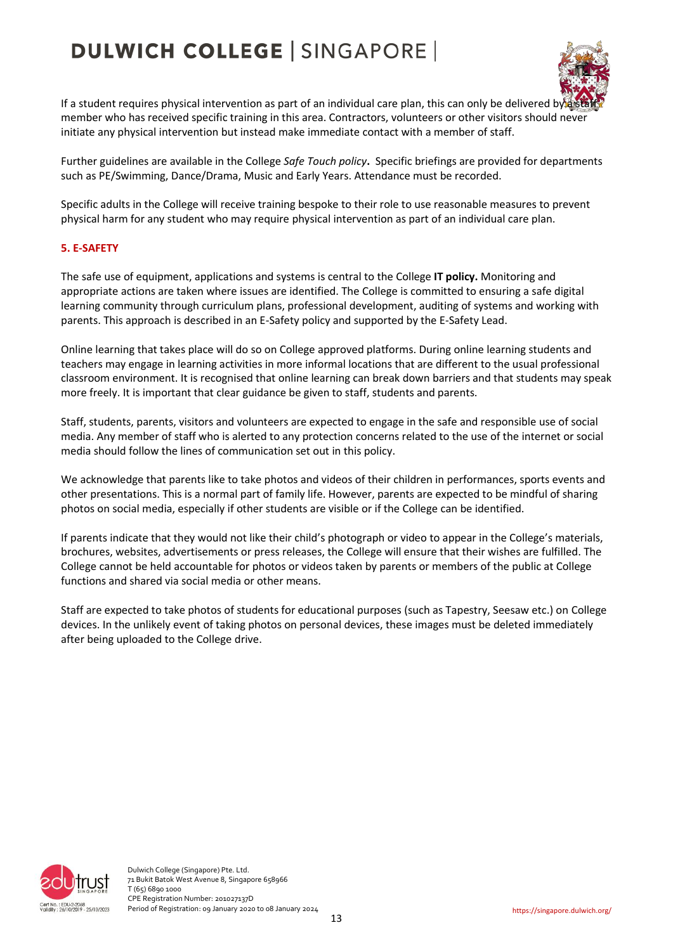

If a student requires physical intervention as part of an individual care plan, this can only be delivered b member who has received specific training in this area. Contractors, volunteers or other visitors should never initiate any physical intervention but instead make immediate contact with a member of staff.

Further guidelines are available in the College *Safe Touch policy***.** Specific briefings are provided for departments such as PE/Swimming, Dance/Drama, Music and Early Years. Attendance must be recorded.

Specific adults in the College will receive training bespoke to their role to use reasonable measures to prevent physical harm for any student who may require physical intervention as part of an individual care plan.

#### **5. E-SAFETY**

The safe use of equipment, applications and systems is central to the College **IT policy.** Monitoring and appropriate actions are taken where issues are identified. The College is committed to ensuring a safe digital learning community through curriculum plans, professional development, auditing of systems and working with parents. This approach is described in an E-Safety policy and supported by the E-Safety Lead.

Online learning that takes place will do so on College approved platforms. During online learning students and teachers may engage in learning activities in more informal locations that are different to the usual professional classroom environment. It is recognised that online learning can break down barriers and that students may speak more freely. It is important that clear guidance be given to staff, students and parents.

Staff, students, parents, visitors and volunteers are expected to engage in the safe and responsible use of social media. Any member of staff who is alerted to any protection concerns related to the use of the internet or social media should follow the lines of communication set out in this policy.

We acknowledge that parents like to take photos and videos of their children in performances, sports events and other presentations. This is a normal part of family life. However, parents are expected to be mindful of sharing photos on social media, especially if other students are visible or if the College can be identified.

If parents indicate that they would not like their child's photograph or video to appear in the College's materials, brochures, websites, advertisements or press releases, the College will ensure that their wishes are fulfilled. The College cannot be held accountable for photos or videos taken by parents or members of the public at College functions and shared via social media or other means.

Staff are expected to take photos of students for educational purposes (such as Tapestry, Seesaw etc.) on College devices. In the unlikely event of taking photos on personal devices, these images must be deleted immediately after being uploaded to the College drive.